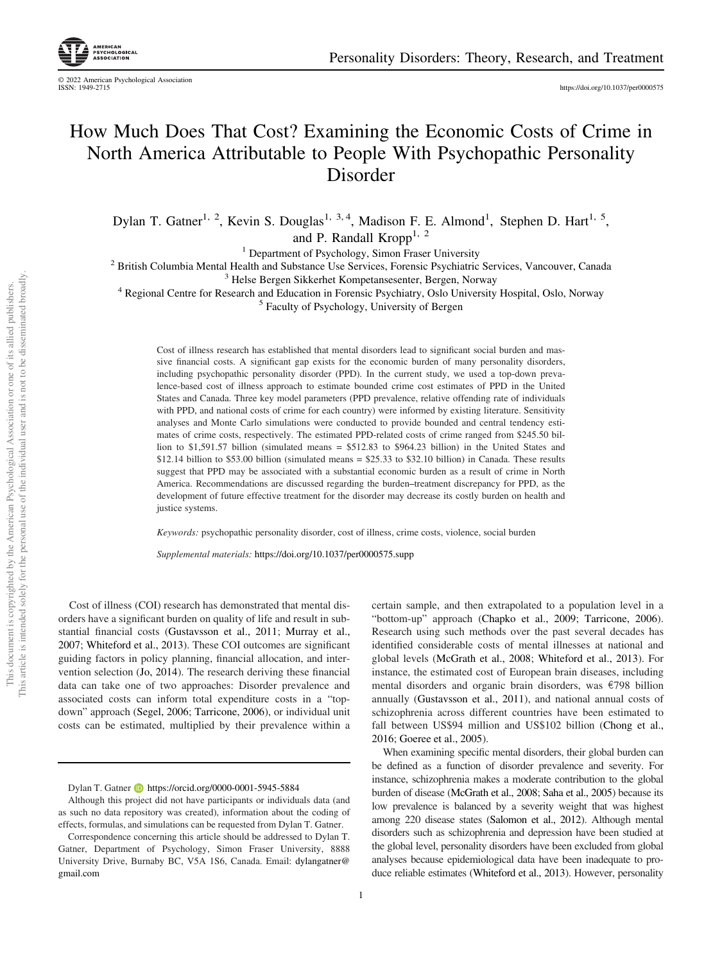© 2022 American Psychological Association

https://doi.org/10.1037/per0000575

# How Much Does That Cost? Examining the Economic Costs of Crime in North America Attributable to People With Psychopathic Personality Disorder

Dylan T. Gatner<sup>1, 2</sup>, Kevin S. Douglas<sup>1, 3, 4</sup>, Madison F. E. Almond<sup>1</sup>, Stephen D. Hart<sup>1, 5</sup>, and P. Randall Kropp<sup>1, 2</sup>

<sup>1</sup> Department of Psychology, Simon Fraser University

<sup>2</sup> British Columbia Mental Health and Substance Use Services, Forensic Psychiatric Services, Vancouver, Canada

<sup>3</sup> Helse Bergen Sikkerhet Kompetansesenter, Bergen, Norway

<sup>4</sup> Regional Centre for Research and Education in Forensic Psychiatry, Oslo University Hospital, Oslo, Norway <sup>5</sup> Faculty of Psychology, University of Bergen

Cost of illness research has established that mental disorders lead to significant social burden and massive financial costs. A significant gap exists for the economic burden of many personality disorders, including psychopathic personality disorder (PPD). In the current study, we used a top-down prevalence-based cost of illness approach to estimate bounded crime cost estimates of PPD in the United States and Canada. Three key model parameters (PPD prevalence, relative offending rate of individuals with PPD, and national costs of crime for each country) were informed by existing literature. Sensitivity analyses and Monte Carlo simulations were conducted to provide bounded and central tendency estimates of crime costs, respectively. The estimated PPD-related costs of crime ranged from \$245.50 billion to \$1,591.57 billion (simulated means = \$512.83 to \$964.23 billion) in the United States and  $$12.14$  billion to  $$53.00$  billion (simulated means =  $$25.33$  to  $$32.10$  billion) in Canada. These results suggest that PPD may be associated with a substantial economic burden as a result of crime in North America. Recommendations are discussed regarding the burden–treatment discrepancy for PPD, as the development of future effective treatment for the disorder may decrease its costly burden on health and justice systems.

*Keywords:* psychopathic personality disorder, cost of illness, crime costs, violence, social burden

*Supplemental materials:* https://doi.org/10.1037/per0000575.supp

Cost of illness (COI) research has demonstrated that mental disorders have a significant burden on quality of life and result in substantial financial costs (Gustavsson et al., 2011; Murray et al., 2007; Whiteford et al., 2013). These COI outcomes are significant guiding factors in policy planning, financial allocation, and intervention selection (Jo, 2014). The research deriving these financial data can take one of two approaches: Disorder prevalence and associated costs can inform total expenditure costs in a "topdown" approach (Segel, 2006; Tarricone, 2006), or individual unit costs can be estimated, multiplied by their prevalence within a

certain sample, and then extrapolated to a population level in a "bottom-up" approach (Chapko et al., 2009; Tarricone, 2006). Research using such methods over the past several decades has identified considerable costs of mental illnesses at national and global levels (McGrath et al., 2008; Whiteford et al., 2013). For instance, the estimated cost of European brain diseases, including mental disorders and organic brain disorders, was  $\epsilon$ 798 billion annually (Gustavsson et al., 2011), and national annual costs of schizophrenia across different countries have been estimated to fall between US\$94 million and US\$102 billion (Chong et al., 2016; Goeree et al., 2005).

When examining specific mental disorders, their global burden can be defined as a function of disorder prevalence and severity. For instance, schizophrenia makes a moderate contribution to the global burden of disease (McGrath et al., 2008; Saha et al., 2005) because its low prevalence is balanced by a severity weight that was highest among 220 disease states (Salomon et al., 2012). Although mental disorders such as schizophrenia and depression have been studied at the global level, personality disorders have been excluded from global analyses because epidemiological data have been inadequate to produce reliable estimates (Whiteford et al., 2013). However, personality

Dylan T. Gatner **b** https://orcid.org/0000-0001-5945-5884

Although this project did not have participants or individuals data (and as such no data repository was created), information about the coding of effects, formulas, and simulations can be requested from Dylan T. Gatner.

Correspondence concerning this article should be addressed to Dylan T. Gatner, Department of Psychology, Simon Fraser University, 8888 University Drive, Burnaby BC, V5A 1S6, Canada. Email: dylangatner@ gmail.com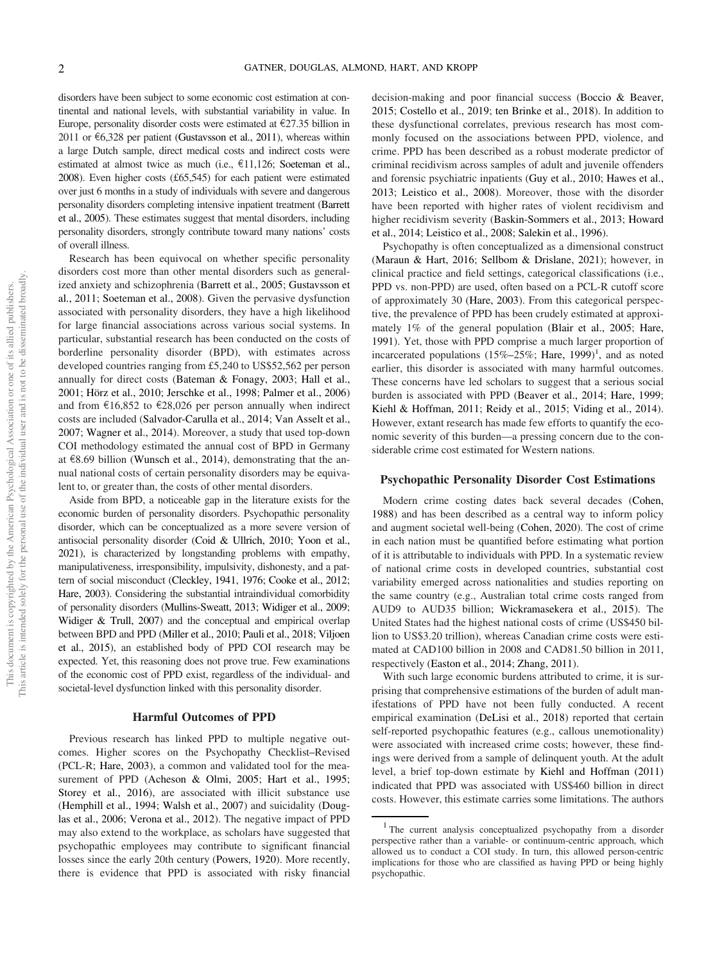disorders have been subject to some economic cost estimation at continental and national levels, with substantial variability in value. In Europe, personality disorder costs were estimated at  $\epsilon$ 27.35 billion in 2011 or  $\epsilon$ 6,328 per patient (Gustavsson et al., 2011), whereas within a large Dutch sample, direct medical costs and indirect costs were estimated at almost twice as much (i.e., e11,126; Soeteman et al., 2008). Even higher costs (£65,545) for each patient were estimated over just 6 months in a study of individuals with severe and dangerous personality disorders completing intensive inpatient treatment (Barrett et al., 2005). These estimates suggest that mental disorders, including personality disorders, strongly contribute toward many nations' costs of overall illness.

Research has been equivocal on whether specific personality disorders cost more than other mental disorders such as generalized anxiety and schizophrenia (Barrett et al., 2005; Gustavsson et al., 2011; Soeteman et al., 2008). Given the pervasive dysfunction associated with personality disorders, they have a high likelihood for large financial associations across various social systems. In particular, substantial research has been conducted on the costs of borderline personality disorder (BPD), with estimates across developed countries ranging from £5,240 to US\$52,562 per person annually for direct costs (Bateman & Fonagy, 2003; Hall et al., 2001; Hörz et al., 2010; Jerschke et al., 1998; Palmer et al., 2006) and from  $\text{\textsterling}16,852$  to  $\text{\textsterling}28,026$  per person annually when indirect costs are included (Salvador-Carulla et al., 2014; Van Asselt et al., 2007; Wagner et al., 2014). Moreover, a study that used top-down COI methodology estimated the annual cost of BPD in Germany at  $\epsilon$ 8.69 billion (Wunsch et al., 2014), demonstrating that the annual national costs of certain personality disorders may be equivalent to, or greater than, the costs of other mental disorders.

Aside from BPD, a noticeable gap in the literature exists for the economic burden of personality disorders. Psychopathic personality disorder, which can be conceptualized as a more severe version of antisocial personality disorder (Coid & Ullrich, 2010; Yoon et al., 2021), is characterized by longstanding problems with empathy, manipulativeness, irresponsibility, impulsivity, dishonesty, and a pattern of social misconduct (Cleckley, 1941, 1976; Cooke et al., 2012; Hare, 2003). Considering the substantial intraindividual comorbidity of personality disorders (Mullins-Sweatt, 2013; Widiger et al., 2009; Widiger & Trull, 2007) and the conceptual and empirical overlap between BPD and PPD (Miller et al., 2010; Pauli et al., 2018; Viljoen et al., 2015), an established body of PPD COI research may be expected. Yet, this reasoning does not prove true. Few examinations of the economic cost of PPD exist, regardless of the individual- and societal-level dysfunction linked with this personality disorder.

#### Harmful Outcomes of PPD

Previous research has linked PPD to multiple negative outcomes. Higher scores on the Psychopathy Checklist–Revised (PCL-R; Hare, 2003), a common and validated tool for the measurement of PPD (Acheson & Olmi, 2005; Hart et al., 1995; Storey et al., 2016), are associated with illicit substance use (Hemphill et al., 1994; Walsh et al., 2007) and suicidality (Douglas et al., 2006; Verona et al., 2012). The negative impact of PPD may also extend to the workplace, as scholars have suggested that psychopathic employees may contribute to significant financial losses since the early 20th century (Powers, 1920). More recently, there is evidence that PPD is associated with risky financial decision-making and poor financial success (Boccio & Beaver, 2015; Costello et al., 2019; ten Brinke et al., 2018). In addition to these dysfunctional correlates, previous research has most commonly focused on the associations between PPD, violence, and crime. PPD has been described as a robust moderate predictor of criminal recidivism across samples of adult and juvenile offenders and forensic psychiatric inpatients (Guy et al., 2010; Hawes et al., 2013; Leistico et al., 2008). Moreover, those with the disorder have been reported with higher rates of violent recidivism and higher recidivism severity (Baskin-Sommers et al., 2013; Howard et al., 2014; Leistico et al., 2008; Salekin et al., 1996).

Psychopathy is often conceptualized as a dimensional construct (Maraun & Hart, 2016; Sellbom & Drislane, 2021); however, in clinical practice and field settings, categorical classifications (i.e., PPD vs. non-PPD) are used, often based on a PCL-R cutoff score of approximately 30 (Hare, 2003). From this categorical perspective, the prevalence of PPD has been crudely estimated at approximately 1% of the general population (Blair et al., 2005; Hare, 1991). Yet, those with PPD comprise a much larger proportion of incarcerated populations  $(15\% - 25\%)$ ; Hare, 1999)<sup>1</sup>, and as noted earlier, this disorder is associated with many harmful outcomes. These concerns have led scholars to suggest that a serious social burden is associated with PPD (Beaver et al., 2014; Hare, 1999; Kiehl & Hoffman, 2011; Reidy et al., 2015; Viding et al., 2014). However, extant research has made few efforts to quantify the economic severity of this burden—a pressing concern due to the considerable crime cost estimated for Western nations.

## Psychopathic Personality Disorder Cost Estimations

Modern crime costing dates back several decades (Cohen, 1988) and has been described as a central way to inform policy and augment societal well-being (Cohen, 2020). The cost of crime in each nation must be quantified before estimating what portion of it is attributable to individuals with PPD. In a systematic review of national crime costs in developed countries, substantial cost variability emerged across nationalities and studies reporting on the same country (e.g., Australian total crime costs ranged from AUD9 to AUD35 billion; Wickramasekera et al., 2015). The United States had the highest national costs of crime (US\$450 billion to US\$3.20 trillion), whereas Canadian crime costs were estimated at CAD100 billion in 2008 and CAD81.50 billion in 2011, respectively (Easton et al., 2014; Zhang, 2011).

With such large economic burdens attributed to crime, it is surprising that comprehensive estimations of the burden of adult manifestations of PPD have not been fully conducted. A recent empirical examination (DeLisi et al., 2018) reported that certain self-reported psychopathic features (e.g., callous unemotionality) were associated with increased crime costs; however, these findings were derived from a sample of delinquent youth. At the adult level, a brief top-down estimate by Kiehl and Hoffman (2011) indicated that PPD was associated with US\$460 billion in direct costs. However, this estimate carries some limitations. The authors

<sup>&</sup>lt;sup>1</sup> The current analysis conceptualized psychopathy from a disorder perspective rather than a variable- or continuum-centric approach, which allowed us to conduct a COI study. In turn, this allowed person-centric implications for those who are classified as having PPD or being highly psychopathic.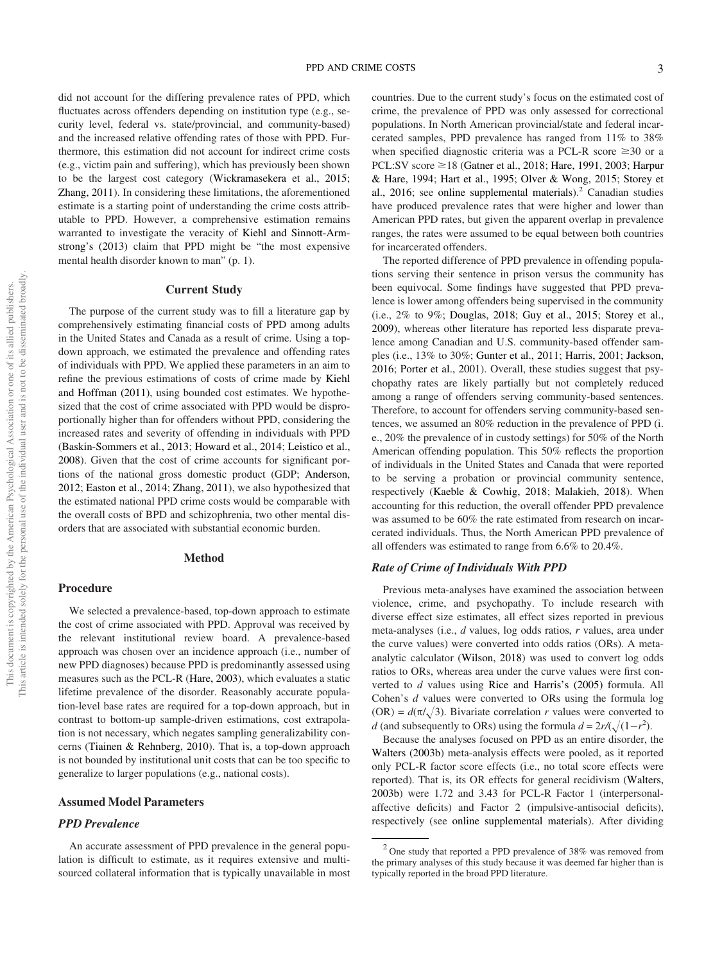did not account for the differing prevalence rates of PPD, which fluctuates across offenders depending on institution type (e.g., security level, federal vs. state/provincial, and community-based) and the increased relative offending rates of those with PPD. Furthermore, this estimation did not account for indirect crime costs (e.g., victim pain and suffering), which has previously been shown to be the largest cost category (Wickramasekera et al., 2015; Zhang, 2011). In considering these limitations, the aforementioned estimate is a starting point of understanding the crime costs attributable to PPD. However, a comprehensive estimation remains warranted to investigate the veracity of Kiehl and Sinnott-Armstrong's (2013) claim that PPD might be "the most expensive mental health disorder known to man" (p. 1).

## Current Study

The purpose of the current study was to fill a literature gap by comprehensively estimating financial costs of PPD among adults in the United States and Canada as a result of crime. Using a topdown approach, we estimated the prevalence and offending rates of individuals with PPD. We applied these parameters in an aim to refine the previous estimations of costs of crime made by Kiehl and Hoffman (2011), using bounded cost estimates. We hypothesized that the cost of crime associated with PPD would be disproportionally higher than for offenders without PPD, considering the increased rates and severity of offending in individuals with PPD (Baskin-Sommers et al., 2013; Howard et al., 2014; Leistico et al., 2008). Given that the cost of crime accounts for significant portions of the national gross domestic product (GDP; Anderson, 2012; Easton et al., 2014; Zhang, 2011), we also hypothesized that the estimated national PPD crime costs would be comparable with the overall costs of BPD and schizophrenia, two other mental disorders that are associated with substantial economic burden.

### Method

#### Procedure

We selected a prevalence-based, top-down approach to estimate the cost of crime associated with PPD. Approval was received by the relevant institutional review board. A prevalence-based approach was chosen over an incidence approach (i.e., number of new PPD diagnoses) because PPD is predominantly assessed using measures such as the PCL-R (Hare, 2003), which evaluates a static lifetime prevalence of the disorder. Reasonably accurate population-level base rates are required for a top-down approach, but in contrast to bottom-up sample-driven estimations, cost extrapolation is not necessary, which negates sampling generalizability concerns (Tiainen & Rehnberg, 2010). That is, a top-down approach is not bounded by institutional unit costs that can be too specific to generalize to larger populations (e.g., national costs).

## Assumed Model Parameters

#### PPD Prevalence

An accurate assessment of PPD prevalence in the general population is difficult to estimate, as it requires extensive and multisourced collateral information that is typically unavailable in most countries. Due to the current study's focus on the estimated cost of crime, the prevalence of PPD was only assessed for correctional populations. In North American provincial/state and federal incarcerated samples, PPD prevalence has ranged from 11% to 38% when specified diagnostic criteria was a PCL-R score  $\geq 30$  or a PCL:SV score  $\geq$ 18 (Gatner et al., 2018; Hare, 1991, 2003; Harpur & Hare, 1994; Hart et al., 1995; Olver & Wong, 2015; Storey et al., 2016; see online supplemental materials).<sup>2</sup> Canadian studies have produced prevalence rates that were higher and lower than American PPD rates, but given the apparent overlap in prevalence ranges, the rates were assumed to be equal between both countries for incarcerated offenders.

The reported difference of PPD prevalence in offending populations serving their sentence in prison versus the community has been equivocal. Some findings have suggested that PPD prevalence is lower among offenders being supervised in the community (i.e., 2% to 9%; Douglas, 2018; Guy et al., 2015; Storey et al., 2009), whereas other literature has reported less disparate prevalence among Canadian and U.S. community-based offender samples (i.e., 13% to 30%; Gunter et al., 2011; Harris, 2001; Jackson, 2016; Porter et al., 2001). Overall, these studies suggest that psychopathy rates are likely partially but not completely reduced among a range of offenders serving community-based sentences. Therefore, to account for offenders serving community-based sentences, we assumed an 80% reduction in the prevalence of PPD (i. e., 20% the prevalence of in custody settings) for 50% of the North American offending population. This 50% reflects the proportion of individuals in the United States and Canada that were reported to be serving a probation or provincial community sentence, respectively (Kaeble & Cowhig, 2018; Malakieh, 2018). When accounting for this reduction, the overall offender PPD prevalence was assumed to be 60% the rate estimated from research on incarcerated individuals. Thus, the North American PPD prevalence of all offenders was estimated to range from 6.6% to 20.4%.

## Rate of Crime of Individuals With PPD

Previous meta-analyses have examined the association between violence, crime, and psychopathy. To include research with diverse effect size estimates, all effect sizes reported in previous meta-analyses (i.e., *d* values, log odds ratios, *r* values, area under the curve values) were converted into odds ratios (ORs). A metaanalytic calculator (Wilson, 2018) was used to convert log odds ratios to ORs, whereas area under the curve values were first converted to *d* values using Rice and Harris's (2005) formula. All Cohen's *d* values were converted to ORs using the formula log  $(OR) = d(\pi/\sqrt{3})$ . Bivariate correlation *r* values were converted to *d* (and subsequently to ORs) using the formula  $d = 2r/(\sqrt{(1-r^2)})$ .

Because the analyses focused on PPD as an entire disorder, the Walters (2003b) meta-analysis effects were pooled, as it reported only PCL-R factor score effects (i.e., no total score effects were reported). That is, its OR effects for general recidivism (Walters, 2003b) were 1.72 and 3.43 for PCL-R Factor 1 (interpersonalaffective deficits) and Factor 2 (impulsive-antisocial deficits), respectively (see online supplemental materials). After dividing

 $2$  One study that reported a PPD prevalence of 38% was removed from the primary analyses of this study because it was deemed far higher than is typically reported in the broad PPD literature.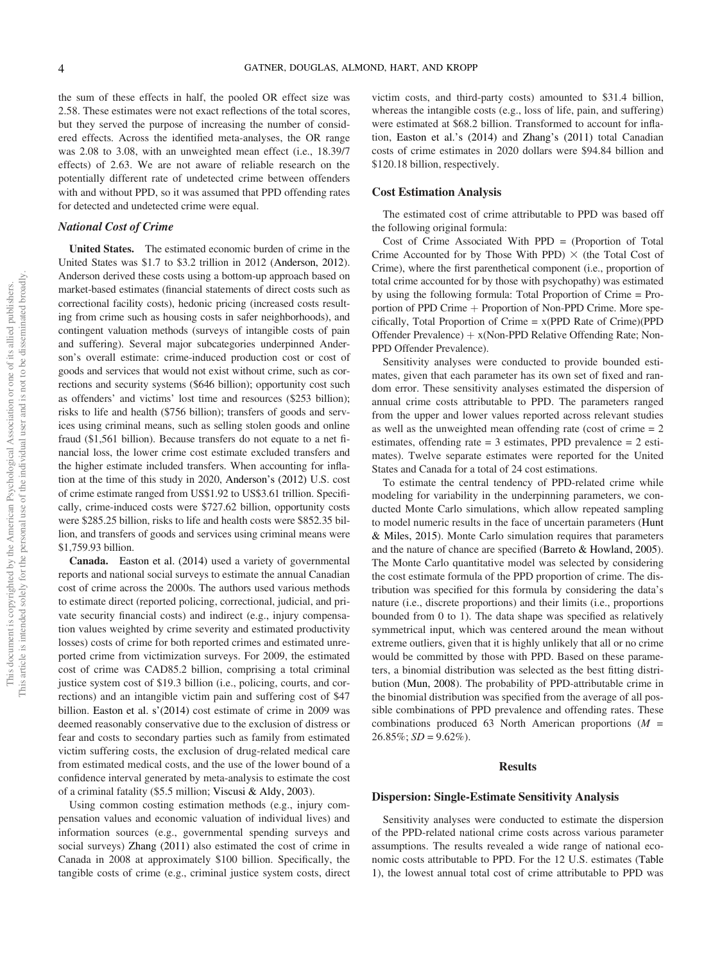the sum of these effects in half, the pooled OR effect size was 2.58. These estimates were not exact reflections of the total scores, but they served the purpose of increasing the number of considered effects. Across the identified meta-analyses, the OR range was 2.08 to 3.08, with an unweighted mean effect (i.e., 18.39/7 effects) of 2.63. We are not aware of reliable research on the potentially different rate of undetected crime between offenders with and without PPD, so it was assumed that PPD offending rates for detected and undetected crime were equal.

## National Cost of Crime

United States. The estimated economic burden of crime in the United States was \$1.7 to \$3.2 trillion in 2012 (Anderson, 2012). Anderson derived these costs using a bottom-up approach based on market-based estimates (financial statements of direct costs such as correctional facility costs), hedonic pricing (increased costs resulting from crime such as housing costs in safer neighborhoods), and contingent valuation methods (surveys of intangible costs of pain and suffering). Several major subcategories underpinned Anderson's overall estimate: crime-induced production cost or cost of goods and services that would not exist without crime, such as corrections and security systems (\$646 billion); opportunity cost such as offenders' and victims' lost time and resources (\$253 billion); risks to life and health (\$756 billion); transfers of goods and services using criminal means, such as selling stolen goods and online fraud (\$1,561 billion). Because transfers do not equate to a net financial loss, the lower crime cost estimate excluded transfers and the higher estimate included transfers. When accounting for inflation at the time of this study in 2020, Anderson's (2012) U.S. cost of crime estimate ranged from US\$1.92 to US\$3.61 trillion. Specifically, crime-induced costs were \$727.62 billion, opportunity costs were \$285.25 billion, risks to life and health costs were \$852.35 billion, and transfers of goods and services using criminal means were \$1,759.93 billion.

Canada. Easton et al. (2014) used a variety of governmental reports and national social surveys to estimate the annual Canadian cost of crime across the 2000s. The authors used various methods to estimate direct (reported policing, correctional, judicial, and private security financial costs) and indirect (e.g., injury compensation values weighted by crime severity and estimated productivity losses) costs of crime for both reported crimes and estimated unreported crime from victimization surveys. For 2009, the estimated cost of crime was CAD85.2 billion, comprising a total criminal justice system cost of \$19.3 billion (i.e., policing, courts, and corrections) and an intangible victim pain and suffering cost of \$47 billion. Easton et al. s'(2014) cost estimate of crime in 2009 was deemed reasonably conservative due to the exclusion of distress or fear and costs to secondary parties such as family from estimated victim suffering costs, the exclusion of drug-related medical care from estimated medical costs, and the use of the lower bound of a confidence interval generated by meta-analysis to estimate the cost of a criminal fatality (\$5.5 million; Viscusi & Aldy, 2003).

Using common costing estimation methods (e.g., injury compensation values and economic valuation of individual lives) and information sources (e.g., governmental spending surveys and social surveys) Zhang (2011) also estimated the cost of crime in Canada in 2008 at approximately \$100 billion. Specifically, the tangible costs of crime (e.g., criminal justice system costs, direct victim costs, and third-party costs) amounted to \$31.4 billion, whereas the intangible costs (e.g., loss of life, pain, and suffering) were estimated at \$68.2 billion. Transformed to account for inflation, Easton et al.'s (2014) and Zhang's (2011) total Canadian costs of crime estimates in 2020 dollars were \$94.84 billion and \$120.18 billion, respectively.

## Cost Estimation Analysis

The estimated cost of crime attributable to PPD was based off the following original formula:

Cost of Crime Associated With PPD = (Proportion of Total Crime Accounted for by Those With PPD)  $\times$  (the Total Cost of Crime), where the first parenthetical component (i.e., proportion of total crime accounted for by those with psychopathy) was estimated by using the following formula: Total Proportion of Crime = Proportion of PPD Crime  $+$  Proportion of Non-PPD Crime. More specifically, Total Proportion of Crime = x(PPD Rate of Crime)(PPD Offender Prevalence)  $+ x(Non-PPD$  Relative Offending Rate; Non-PPD Offender Prevalence).

Sensitivity analyses were conducted to provide bounded estimates, given that each parameter has its own set of fixed and random error. These sensitivity analyses estimated the dispersion of annual crime costs attributable to PPD. The parameters ranged from the upper and lower values reported across relevant studies as well as the unweighted mean offending rate (cost of crime = 2 estimates, offending rate = 3 estimates, PPD prevalence = 2 estimates). Twelve separate estimates were reported for the United States and Canada for a total of 24 cost estimations.

To estimate the central tendency of PPD-related crime while modeling for variability in the underpinning parameters, we conducted Monte Carlo simulations, which allow repeated sampling to model numeric results in the face of uncertain parameters (Hunt & Miles, 2015). Monte Carlo simulation requires that parameters and the nature of chance are specified (Barreto & Howland, 2005). The Monte Carlo quantitative model was selected by considering the cost estimate formula of the PPD proportion of crime. The distribution was specified for this formula by considering the data's nature (i.e., discrete proportions) and their limits (i.e., proportions bounded from 0 to 1). The data shape was specified as relatively symmetrical input, which was centered around the mean without extreme outliers, given that it is highly unlikely that all or no crime would be committed by those with PPD. Based on these parameters, a binomial distribution was selected as the best fitting distribution (Mun, 2008). The probability of PPD-attributable crime in the binomial distribution was specified from the average of all possible combinations of PPD prevalence and offending rates. These combinations produced 63 North American proportions (*M =*  $26.85\%$ ; *SD* =  $9.62\%$ ).

### Results

### Dispersion: Single-Estimate Sensitivity Analysis

Sensitivity analyses were conducted to estimate the dispersion of the PPD-related national crime costs across various parameter assumptions. The results revealed a wide range of national economic costs attributable to PPD. For the 12 U.S. estimates (Table 1), the lowest annual total cost of crime attributable to PPD was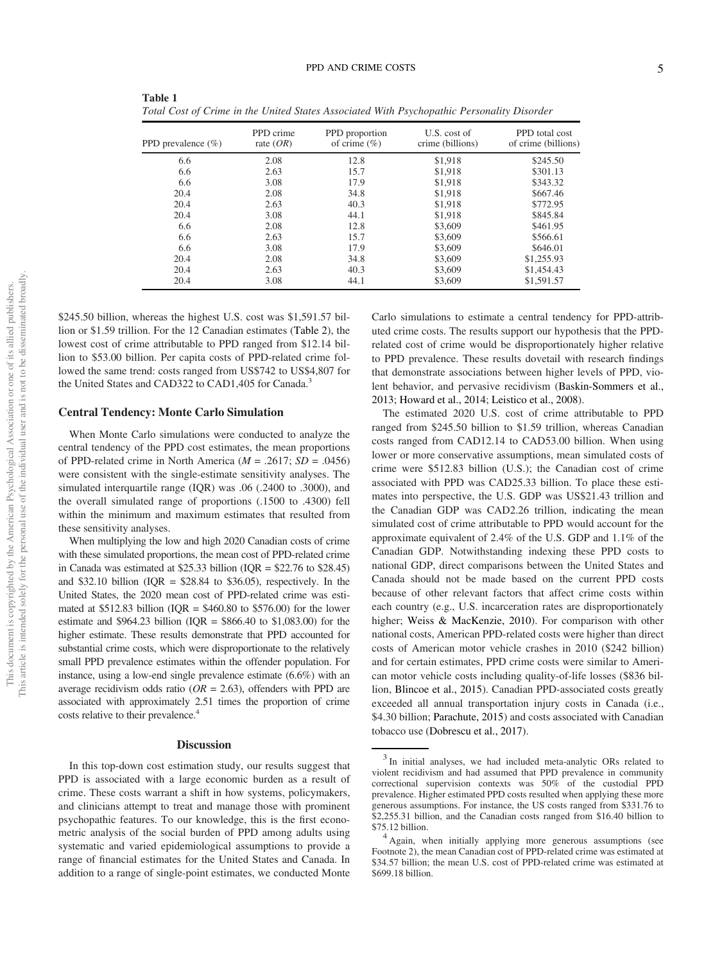| PPD prevalence $(\% )$ | PPD crime<br>rate $(OR)$ | PPD proportion<br>of crime $(\% )$ | U.S. cost of<br>crime (billions) | PPD total cost<br>of crime (billions) |
|------------------------|--------------------------|------------------------------------|----------------------------------|---------------------------------------|
| 6.6                    | 2.08                     | 12.8                               | \$1.918                          | \$245.50                              |
| 6.6                    | 2.63                     | 15.7                               | \$1,918                          | \$301.13                              |
| 6.6                    | 3.08                     | 17.9                               | \$1,918                          | \$343.32                              |
| 20.4                   | 2.08                     | 34.8                               | \$1,918                          | \$667.46                              |
| 20.4                   | 2.63                     | 40.3                               | \$1,918                          | \$772.95                              |
| 20.4                   | 3.08                     | 44.1                               | \$1,918                          | \$845.84                              |
| 6.6                    | 2.08                     | 12.8                               | \$3,609                          | \$461.95                              |
| 6.6                    | 2.63                     | 15.7                               | \$3,609                          | \$566.61                              |
| 6.6                    | 3.08                     | 17.9                               | \$3,609                          | \$646.01                              |
| 20.4                   | 2.08                     | 34.8                               | \$3,609                          | \$1,255.93                            |
| 20.4                   | 2.63                     | 40.3                               | \$3,609                          | \$1,454.43                            |
| 20.4                   | 3.08                     | 44.1                               | \$3,609                          | \$1,591.57                            |

Table 1 *Total Cost of Crime in the United States Associated With Psychopathic Personality Disorder*

\$245.50 billion, whereas the highest U.S. cost was \$1,591.57 billion or \$1.59 trillion. For the 12 Canadian estimates (Table 2), the lowest cost of crime attributable to PPD ranged from \$12.14 billion to \$53.00 billion. Per capita costs of PPD-related crime followed the same trend: costs ranged from US\$742 to US\$4,807 for the United States and CAD322 to CAD1,405 for Canada.<sup>3</sup>

#### Central Tendency: Monte Carlo Simulation

When Monte Carlo simulations were conducted to analyze the central tendency of the PPD cost estimates, the mean proportions of PPD-related crime in North America (*M* = .2617; *SD* = .0456) were consistent with the single-estimate sensitivity analyses. The simulated interquartile range (IQR) was .06 (.2400 to .3000), and the overall simulated range of proportions (.1500 to .4300) fell within the minimum and maximum estimates that resulted from these sensitivity analyses.

When multiplying the low and high 2020 Canadian costs of crime with these simulated proportions, the mean cost of PPD-related crime in Canada was estimated at \$25.33 billion (IQR =  $$22.76$  to \$28.45) and \$32.10 billion ( $IQR = $28.84$  to \$36.05), respectively. In the United States, the 2020 mean cost of PPD-related crime was estimated at  $$512.83$  billion (IQR =  $$460.80$  to  $$576.00$ ) for the lower estimate and \$964.23 billion (IQR = \$866.40 to \$1,083.00) for the higher estimate. These results demonstrate that PPD accounted for substantial crime costs, which were disproportionate to the relatively small PPD prevalence estimates within the offender population. For instance, using a low-end single prevalence estimate (6.6%) with an average recidivism odds ratio (*OR* = 2.63), offenders with PPD are associated with approximately 2.51 times the proportion of crime costs relative to their prevalence.<sup>4</sup>

#### **Discussion**

In this top-down cost estimation study, our results suggest that PPD is associated with a large economic burden as a result of crime. These costs warrant a shift in how systems, policymakers, and clinicians attempt to treat and manage those with prominent psychopathic features. To our knowledge, this is the first econometric analysis of the social burden of PPD among adults using systematic and varied epidemiological assumptions to provide a range of financial estimates for the United States and Canada. In addition to a range of single-point estimates, we conducted Monte

Carlo simulations to estimate a central tendency for PPD-attributed crime costs. The results support our hypothesis that the PPDrelated cost of crime would be disproportionately higher relative to PPD prevalence. These results dovetail with research findings that demonstrate associations between higher levels of PPD, violent behavior, and pervasive recidivism (Baskin-Sommers et al., 2013; Howard et al., 2014; Leistico et al., 2008).

The estimated 2020 U.S. cost of crime attributable to PPD ranged from \$245.50 billion to \$1.59 trillion, whereas Canadian costs ranged from CAD12.14 to CAD53.00 billion. When using lower or more conservative assumptions, mean simulated costs of crime were \$512.83 billion (U.S.); the Canadian cost of crime associated with PPD was CAD25.33 billion. To place these estimates into perspective, the U.S. GDP was US\$21.43 trillion and the Canadian GDP was CAD2.26 trillion, indicating the mean simulated cost of crime attributable to PPD would account for the approximate equivalent of 2.4% of the U.S. GDP and 1.1% of the Canadian GDP. Notwithstanding indexing these PPD costs to national GDP, direct comparisons between the United States and Canada should not be made based on the current PPD costs because of other relevant factors that affect crime costs within each country (e.g., U.S. incarceration rates are disproportionately higher; Weiss & MacKenzie, 2010). For comparison with other national costs, American PPD-related costs were higher than direct costs of American motor vehicle crashes in 2010 (\$242 billion) and for certain estimates, PPD crime costs were similar to American motor vehicle costs including quality-of-life losses (\$836 billion, Blincoe et al., 2015). Canadian PPD-associated costs greatly exceeded all annual transportation injury costs in Canada (i.e., \$4.30 billion; Parachute, 2015) and costs associated with Canadian tobacco use (Dobrescu et al., 2017).

<sup>&</sup>lt;sup>3</sup> In initial analyses, we had included meta-analytic ORs related to violent recidivism and had assumed that PPD prevalence in community correctional supervision contexts was 50% of the custodial PPD prevalence. Higher estimated PPD costs resulted when applying these more generous assumptions. For instance, the US costs ranged from \$331.76 to \$2,255.31 billion, and the Canadian costs ranged from \$16.40 billion to \$75.12 billion.

<sup>&</sup>lt;sup>4</sup> Again, when initially applying more generous assumptions (see Footnote 2), the mean Canadian cost of PPD-related crime was estimated at \$34.57 billion; the mean U.S. cost of PPD-related crime was estimated at \$699.18 billion.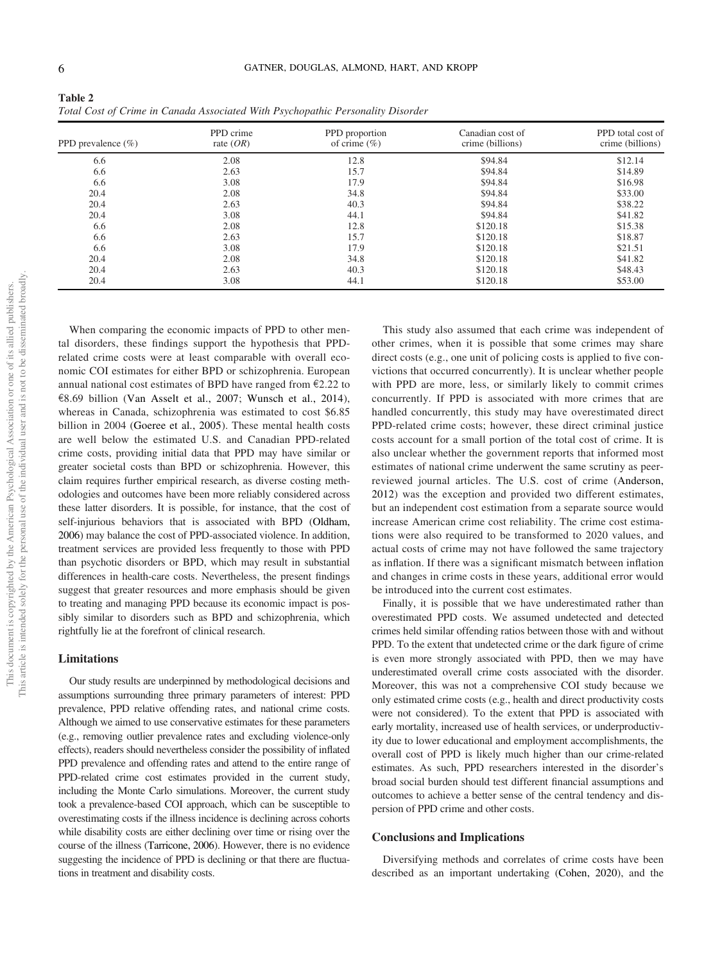| Table 2                                                                         |
|---------------------------------------------------------------------------------|
| Total Cost of Crime in Canada Associated With Psychopathic Personality Disorder |

| PPD prevalence $(\% )$ | PPD crime<br>rate $(OR)$ | PPD proportion<br>of crime $(\% )$ | Canadian cost of<br>crime (billions) | PPD total cost of<br>crime (billions) |
|------------------------|--------------------------|------------------------------------|--------------------------------------|---------------------------------------|
| 6.6                    | 2.08                     | 12.8                               | \$94.84                              | \$12.14                               |
| 6.6                    | 2.63                     | 15.7                               | \$94.84                              | \$14.89                               |
| 6.6                    | 3.08                     | 17.9                               | \$94.84                              | \$16.98                               |
| 20.4                   | 2.08                     | 34.8                               | \$94.84                              | \$33.00                               |
| 20.4                   | 2.63                     | 40.3                               | \$94.84                              | \$38.22                               |
| 20.4                   | 3.08                     | 44.1                               | \$94.84                              | \$41.82                               |
| 6.6                    | 2.08                     | 12.8                               | \$120.18                             | \$15.38                               |
| 6.6                    | 2.63                     | 15.7                               | \$120.18                             | \$18.87                               |
| 6.6                    | 3.08                     | 17.9                               | \$120.18                             | \$21.51                               |
| 20.4                   | 2.08                     | 34.8                               | \$120.18                             | \$41.82                               |
| 20.4                   | 2.63                     | 40.3                               | \$120.18                             | \$48.43                               |
| 20.4                   | 3.08                     | 44.1                               | \$120.18                             | \$53.00                               |

When comparing the economic impacts of PPD to other mental disorders, these findings support the hypothesis that PPDrelated crime costs were at least comparable with overall economic COI estimates for either BPD or schizophrenia. European annual national cost estimates of BPD have ranged from  $\epsilon$ 2.22 to  $E8.69$  billion (Van Asselt et al., 2007; Wunsch et al., 2014), whereas in Canada, schizophrenia was estimated to cost \$6.85 billion in 2004 (Goeree et al., 2005). These mental health costs are well below the estimated U.S. and Canadian PPD-related crime costs, providing initial data that PPD may have similar or greater societal costs than BPD or schizophrenia. However, this claim requires further empirical research, as diverse costing methodologies and outcomes have been more reliably considered across these latter disorders. It is possible, for instance, that the cost of self-injurious behaviors that is associated with BPD (Oldham, 2006) may balance the cost of PPD-associated violence. In addition, treatment services are provided less frequently to those with PPD than psychotic disorders or BPD, which may result in substantial differences in health-care costs. Nevertheless, the present findings suggest that greater resources and more emphasis should be given to treating and managing PPD because its economic impact is possibly similar to disorders such as BPD and schizophrenia, which rightfully lie at the forefront of clinical research.

## Limitations

Our study results are underpinned by methodological decisions and assumptions surrounding three primary parameters of interest: PPD prevalence, PPD relative offending rates, and national crime costs. Although we aimed to use conservative estimates for these parameters (e.g., removing outlier prevalence rates and excluding violence-only effects), readers should nevertheless consider the possibility of inflated PPD prevalence and offending rates and attend to the entire range of PPD-related crime cost estimates provided in the current study, including the Monte Carlo simulations. Moreover, the current study took a prevalence-based COI approach, which can be susceptible to overestimating costs if the illness incidence is declining across cohorts while disability costs are either declining over time or rising over the course of the illness (Tarricone, 2006). However, there is no evidence suggesting the incidence of PPD is declining or that there are fluctuations in treatment and disability costs.

This study also assumed that each crime was independent of other crimes, when it is possible that some crimes may share direct costs (e.g., one unit of policing costs is applied to five convictions that occurred concurrently). It is unclear whether people with PPD are more, less, or similarly likely to commit crimes concurrently. If PPD is associated with more crimes that are handled concurrently, this study may have overestimated direct PPD-related crime costs; however, these direct criminal justice costs account for a small portion of the total cost of crime. It is also unclear whether the government reports that informed most estimates of national crime underwent the same scrutiny as peerreviewed journal articles. The U.S. cost of crime (Anderson, 2012) was the exception and provided two different estimates, but an independent cost estimation from a separate source would increase American crime cost reliability. The crime cost estimations were also required to be transformed to 2020 values, and actual costs of crime may not have followed the same trajectory as inflation. If there was a significant mismatch between inflation and changes in crime costs in these years, additional error would be introduced into the current cost estimates.

Finally, it is possible that we have underestimated rather than overestimated PPD costs. We assumed undetected and detected crimes held similar offending ratios between those with and without PPD. To the extent that undetected crime or the dark figure of crime is even more strongly associated with PPD, then we may have underestimated overall crime costs associated with the disorder. Moreover, this was not a comprehensive COI study because we only estimated crime costs (e.g., health and direct productivity costs were not considered). To the extent that PPD is associated with early mortality, increased use of health services, or underproductivity due to lower educational and employment accomplishments, the overall cost of PPD is likely much higher than our crime-related estimates. As such, PPD researchers interested in the disorder's broad social burden should test different financial assumptions and outcomes to achieve a better sense of the central tendency and dispersion of PPD crime and other costs.

#### Conclusions and Implications

Diversifying methods and correlates of crime costs have been described as an important undertaking (Cohen, 2020), and the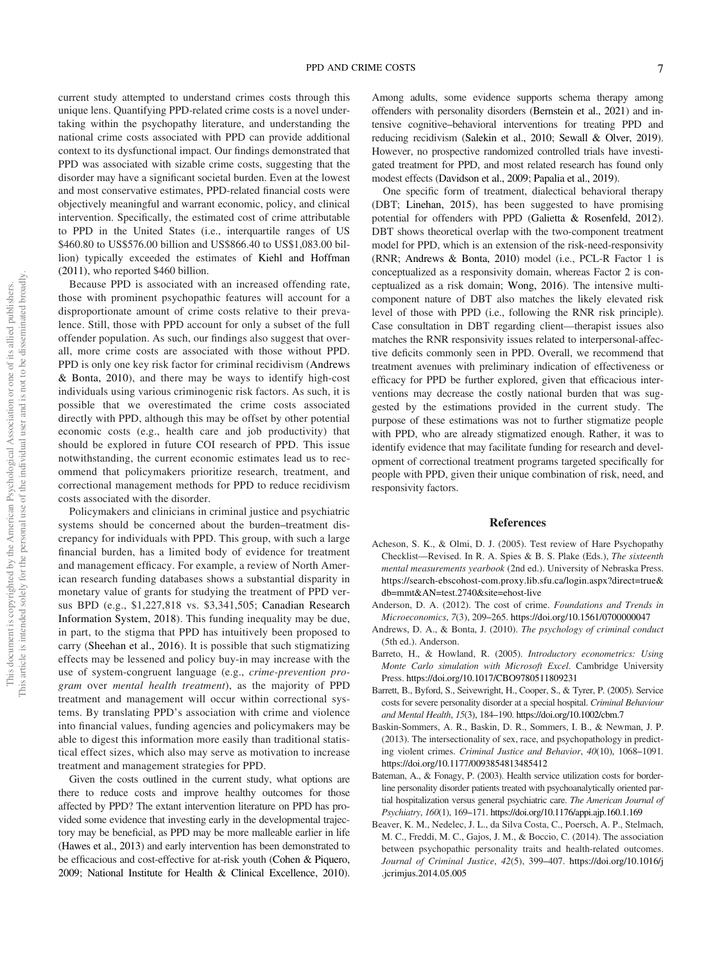current study attempted to understand crimes costs through this unique lens. Quantifying PPD-related crime costs is a novel undertaking within the psychopathy literature, and understanding the national crime costs associated with PPD can provide additional context to its dysfunctional impact. Our findings demonstrated that PPD was associated with sizable crime costs, suggesting that the disorder may have a significant societal burden. Even at the lowest and most conservative estimates, PPD-related financial costs were objectively meaningful and warrant economic, policy, and clinical intervention. Specifically, the estimated cost of crime attributable to PPD in the United States (i.e., interquartile ranges of US \$460.80 to US\$576.00 billion and US\$866.40 to US\$1,083.00 billion) typically exceeded the estimates of Kiehl and Hoffman (2011), who reported \$460 billion.

Because PPD is associated with an increased offending rate, those with prominent psychopathic features will account for a disproportionate amount of crime costs relative to their prevalence. Still, those with PPD account for only a subset of the full offender population. As such, our findings also suggest that overall, more crime costs are associated with those without PPD. PPD is only one key risk factor for criminal recidivism (Andrews & Bonta, 2010), and there may be ways to identify high-cost individuals using various criminogenic risk factors. As such, it is possible that we overestimated the crime costs associated directly with PPD, although this may be offset by other potential economic costs (e.g., health care and job productivity) that should be explored in future COI research of PPD. This issue notwithstanding, the current economic estimates lead us to recommend that policymakers prioritize research, treatment, and correctional management methods for PPD to reduce recidivism costs associated with the disorder.

Policymakers and clinicians in criminal justice and psychiatric systems should be concerned about the burden–treatment discrepancy for individuals with PPD. This group, with such a large financial burden, has a limited body of evidence for treatment and management efficacy. For example, a review of North American research funding databases shows a substantial disparity in monetary value of grants for studying the treatment of PPD versus BPD (e.g., \$1,227,818 vs. \$3,341,505; Canadian Research Information System, 2018). This funding inequality may be due, in part, to the stigma that PPD has intuitively been proposed to carry (Sheehan et al., 2016). It is possible that such stigmatizing effects may be lessened and policy buy-in may increase with the use of system-congruent language (e.g., *crime-prevention program* over *mental health treatment*), as the majority of PPD treatment and management will occur within correctional systems. By translating PPD's association with crime and violence into financial values, funding agencies and policymakers may be able to digest this information more easily than traditional statistical effect sizes, which also may serve as motivation to increase treatment and management strategies for PPD.

Given the costs outlined in the current study, what options are there to reduce costs and improve healthy outcomes for those affected by PPD? The extant intervention literature on PPD has provided some evidence that investing early in the developmental trajectory may be beneficial, as PPD may be more malleable earlier in life (Hawes et al., 2013) and early intervention has been demonstrated to be efficacious and cost-effective for at-risk youth (Cohen & Piquero, 2009; National Institute for Health & Clinical Excellence, 2010).

Among adults, some evidence supports schema therapy among offenders with personality disorders (Bernstein et al., 2021) and intensive cognitive–behavioral interventions for treating PPD and reducing recidivism (Salekin et al., 2010; Sewall & Olver, 2019). However, no prospective randomized controlled trials have investigated treatment for PPD, and most related research has found only modest effects (Davidson et al., 2009; Papalia et al., 2019).

One specific form of treatment, dialectical behavioral therapy (DBT; Linehan, 2015), has been suggested to have promising potential for offenders with PPD (Galietta & Rosenfeld, 2012). DBT shows theoretical overlap with the two-component treatment model for PPD, which is an extension of the risk-need-responsivity (RNR; Andrews & Bonta, 2010) model (i.e., PCL-R Factor 1 is conceptualized as a responsivity domain, whereas Factor 2 is conceptualized as a risk domain; Wong, 2016). The intensive multicomponent nature of DBT also matches the likely elevated risk level of those with PPD (i.e., following the RNR risk principle). Case consultation in DBT regarding client—therapist issues also matches the RNR responsivity issues related to interpersonal-affective deficits commonly seen in PPD. Overall, we recommend that treatment avenues with preliminary indication of effectiveness or efficacy for PPD be further explored, given that efficacious interventions may decrease the costly national burden that was suggested by the estimations provided in the current study. The purpose of these estimations was not to further stigmatize people with PPD, who are already stigmatized enough. Rather, it was to identify evidence that may facilitate funding for research and development of correctional treatment programs targeted specifically for people with PPD, given their unique combination of risk, need, and responsivity factors.

## References

- Acheson, S. K., & Olmi, D. J. (2005). Test review of Hare Psychopathy Checklist—Revised. In R. A. Spies & B. S. Plake (Eds.), *The sixteenth mental measurements yearbook* (2nd ed.). University of Nebraska Press. https://search-ebscohost-com.proxy.lib.sfu.ca/login.aspx?direct=true& db=mmt&AN=test.2740&site=ehost-live
- Anderson, D. A. (2012). The cost of crime. *Foundations and Trends in Microeconomics*, *7*(3), 209–265. https://doi.org/10.1561/0700000047
- Andrews, D. A., & Bonta, J. (2010). *The psychology of criminal conduct* (5th ed.). Anderson.
- Barreto, H., & Howland, R. (2005). *Introductory econometrics: Using Monte Carlo simulation with Microsoft Excel*. Cambridge University Press. https://doi.org/10.1017/CBO9780511809231
- Barrett, B., Byford, S., Seivewright, H., Cooper, S., & Tyrer, P. (2005). Service costs for severe personality disorder at a special hospital. *Criminal Behaviour and Mental Health*, *15*(3), 184–190. https://doi.org/10.1002/cbm.7
- Baskin-Sommers, A. R., Baskin, D. R., Sommers, I. B., & Newman, J. P. (2013). The intersectionality of sex, race, and psychopathology in predicting violent crimes. *Criminal Justice and Behavior*, *40*(10), 1068–1091. https://doi.org/10.1177/0093854813485412
- Bateman, A., & Fonagy, P. (2003). Health service utilization costs for borderline personality disorder patients treated with psychoanalytically oriented partial hospitalization versus general psychiatric care. *The American Journal of Psychiatry*, *160*(1), 169–171. https://doi.org/10.1176/appi.ajp.160.1.169
- Beaver, K. M., Nedelec, J. L., da Silva Costa, C., Poersch, A. P., Stelmach, M. C., Freddi, M. C., Gajos, J. M., & Boccio, C. (2014). The association between psychopathic personality traits and health-related outcomes. *Journal of Criminal Justice*, *42*(5), 399–407. https://doi.org/10.1016/j .jcrimjus.2014.05.005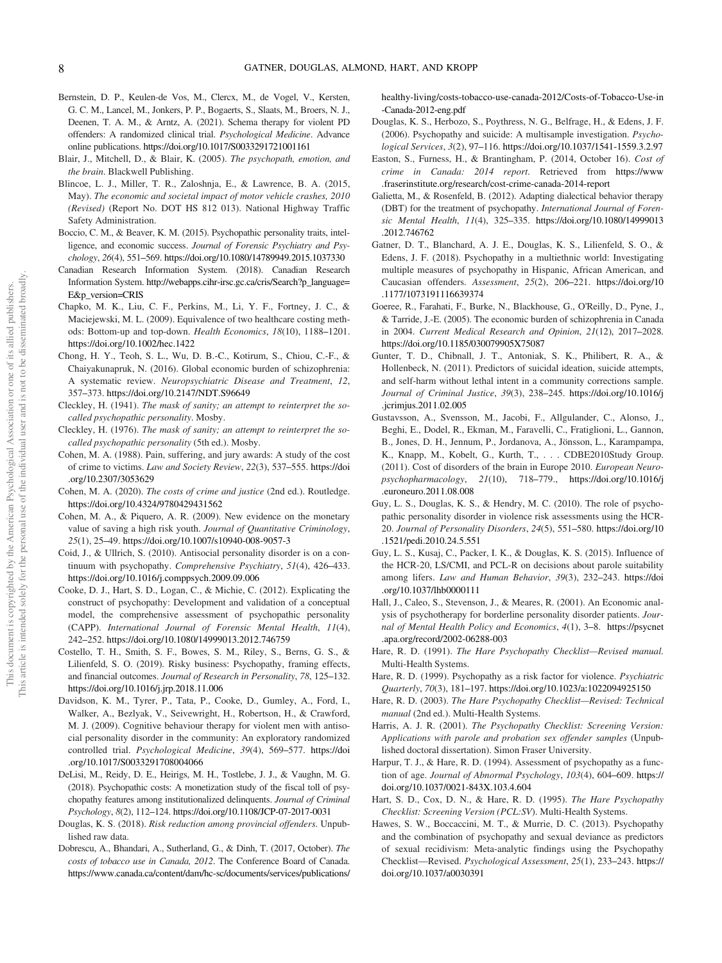- Bernstein, D. P., Keulen-de Vos, M., Clercx, M., de Vogel, V., Kersten, G. C. M., Lancel, M., Jonkers, P. P., Bogaerts, S., Slaats, M., Broers, N. J., Deenen, T. A. M., & Arntz, A. (2021). Schema therapy for violent PD offenders: A randomized clinical trial. *Psychological Medicine*. Advance online publications. https://doi.org/10.1017/S0033291721001161
- Blair, J., Mitchell, D., & Blair, K. (2005). *The psychopath, emotion, and the brain*. Blackwell Publishing.
- Blincoe, L. J., Miller, T. R., Zaloshnja, E., & Lawrence, B. A. (2015, May). *The economic and societal impact of motor vehicle crashes, 2010 (Revised)* (Report No. DOT HS 812 013). National Highway Traffic Safety Administration.
- Boccio, C. M., & Beaver, K. M. (2015). Psychopathic personality traits, intelligence, and economic success. *Journal of Forensic Psychiatry and Psychology*, *26*(4), 551–569. https://doi.org/10.1080/14789949.2015.1037330
- Canadian Research Information System. (2018). Canadian Research Information System. http://webapps.cihr-irsc.gc.ca/cris/Search?p\_language= E&p\_version=CRIS
- Chapko, M. K., Liu, C. F., Perkins, M., Li, Y. F., Fortney, J. C., & Maciejewski, M. L. (2009). Equivalence of two healthcare costing methods: Bottom-up and top-down. *Health Economics*, *18*(10), 1188–1201. https://doi.org/10.1002/hec.1422
- Chong, H. Y., Teoh, S. L., Wu, D. B.-C., Kotirum, S., Chiou, C.-F., & Chaiyakunapruk, N. (2016). Global economic burden of schizophrenia: A systematic review. *Neuropsychiatric Disease and Treatment*, *12*, 357–373. https://doi.org/10.2147/NDT.S96649
- Cleckley, H. (1941). *The mask of sanity; an attempt to reinterpret the socalled psychopathic personality*. Mosby.
- Cleckley, H. (1976). *The mask of sanity; an attempt to reinterpret the socalled psychopathic personality* (5th ed.). Mosby.
- Cohen, M. A. (1988). Pain, suffering, and jury awards: A study of the cost of crime to victims. *Law and Society Review*, *22*(3), 537–555. https://doi .org/10.2307/3053629
- Cohen, M. A. (2020). *The costs of crime and justice* (2nd ed.). Routledge. https://doi.org/10.4324/9780429431562
- Cohen, M. A., & Piquero, A. R. (2009). New evidence on the monetary value of saving a high risk youth. *Journal of Quantitative Criminology*, *25*(1), 25–49. https://doi.org/10.1007/s10940-008-9057-3
- Coid, J., & Ullrich, S. (2010). Antisocial personality disorder is on a continuum with psychopathy. *Comprehensive Psychiatry*, *51*(4), 426–433. https://doi.org/10.1016/j.comppsych.2009.09.006
- Cooke, D. J., Hart, S. D., Logan, C., & Michie, C. (2012). Explicating the construct of psychopathy: Development and validation of a conceptual model, the comprehensive assessment of psychopathic personality (CAPP). *International Journal of Forensic Mental Health*, *11*(4), 242–252. https://doi.org/10.1080/14999013.2012.746759
- Costello, T. H., Smith, S. F., Bowes, S. M., Riley, S., Berns, G. S., & Lilienfeld, S. O. (2019). Risky business: Psychopathy, framing effects, and financial outcomes. *Journal of Research in Personality*, *78*, 125–132. https://doi.org/10.1016/j.jrp.2018.11.006
- Davidson, K. M., Tyrer, P., Tata, P., Cooke, D., Gumley, A., Ford, I., Walker, A., Bezlyak, V., Seivewright, H., Robertson, H., & Crawford, M. J. (2009). Cognitive behaviour therapy for violent men with antisocial personality disorder in the community: An exploratory randomized controlled trial. *Psychological Medicine*, *39*(4), 569–577. https://doi .org/10.1017/S0033291708004066
- DeLisi, M., Reidy, D. E., Heirigs, M. H., Tostlebe, J. J., & Vaughn, M. G. (2018). Psychopathic costs: A monetization study of the fiscal toll of psychopathy features among institutionalized delinquents. *Journal of Criminal Psychology*, *8*(2), 112–124. https://doi.org/10.1108/JCP-07-2017-0031
- Douglas, K. S. (2018). *Risk reduction among provincial offenders*. Unpublished raw data.
- Dobrescu, A., Bhandari, A., Sutherland, G., & Dinh, T. (2017, October). *The costs of tobacco use in Canada, 2012*. The Conference Board of Canada. https://www.canada.ca/content/dam/hc-sc/documents/services/publications/

healthy-living/costs-tobacco-use-canada-2012/Costs-of-Tobacco-Use-in -Canada-2012-eng.pdf

- Douglas, K. S., Herbozo, S., Poythress, N. G., Belfrage, H., & Edens, J. F. (2006). Psychopathy and suicide: A multisample investigation. *Psychological Services*, *3*(2), 97–116. https://doi.org/10.1037/1541-1559.3.2.97
- Easton, S., Furness, H., & Brantingham, P. (2014, October 16). *Cost of crime in Canada: 2014 report*. Retrieved from https://www .fraserinstitute.org/research/cost-crime-canada-2014-report
- Galietta, M., & Rosenfeld, B. (2012). Adapting dialectical behavior therapy (DBT) for the treatment of psychopathy. *International Journal of Forensic Mental Health*, *11*(4), 325–335. https://doi.org/10.1080/14999013 .2012.746762
- Gatner, D. T., Blanchard, A. J. E., Douglas, K. S., Lilienfeld, S. O., & Edens, J. F. (2018). Psychopathy in a multiethnic world: Investigating multiple measures of psychopathy in Hispanic, African American, and Caucasian offenders. *Assessment*, *25*(2), 206–221. https://doi.org/10 .1177/1073191116639374
- Goeree, R., Farahati, F., Burke, N., Blackhouse, G., O'Reilly, D., Pyne, J., & Tarride, J.-E. (2005). The economic burden of schizophrenia in Canada in 2004. *Current Medical Research and Opinion*, *21*(12), 2017–2028. https://doi.org/10.1185/030079905X75087
- Gunter, T. D., Chibnall, J. T., Antoniak, S. K., Philibert, R. A., & Hollenbeck, N. (2011). Predictors of suicidal ideation, suicide attempts, and self-harm without lethal intent in a community corrections sample. *Journal of Criminal Justice*, *39*(3), 238–245. https://doi.org/10.1016/j .jcrimjus.2011.02.005
- Gustavsson, A., Svensson, M., Jacobi, F., Allgulander, C., Alonso, J., Beghi, E., Dodel, R., Ekman, M., Faravelli, C., Fratiglioni, L., Gannon, B., Jones, D. H., Jennum, P., Jordanova, A., Jönsson, L., Karampampa, K., Knapp, M., Kobelt, G., Kurth, T., . . . CDBE2010Study Group. (2011). Cost of disorders of the brain in Europe 2010. *European Neuropsychopharmacology*, *21*(10), 718–779., https://doi.org/10.1016/j .euroneuro.2011.08.008
- Guy, L. S., Douglas, K. S., & Hendry, M. C. (2010). The role of psychopathic personality disorder in violence risk assessments using the HCR-20. *Journal of Personality Disorders*, *24*(5), 551–580. https://doi.org/10 .1521/pedi.2010.24.5.551
- Guy, L. S., Kusaj, C., Packer, I. K., & Douglas, K. S. (2015). Influence of the HCR-20, LS/CMI, and PCL-R on decisions about parole suitability among lifers. *Law and Human Behavior*, *39*(3), 232–243. https://doi .org/10.1037/lhb0000111
- Hall, J., Caleo, S., Stevenson, J., & Meares, R. (2001). An Economic analysis of psychotherapy for borderline personality disorder patients. *Journal of Mental Health Policy and Economics*, *4*(1), 3–8. https://psycnet .apa.org/record/2002-06288-003
- Hare, R. D. (1991). *The Hare Psychopathy Checklist*—*Revised manual*. Multi-Health Systems.
- Hare, R. D. (1999). Psychopathy as a risk factor for violence. *Psychiatric Quarterly*, *70*(3), 181–197. https://doi.org/10.1023/a:1022094925150
- Hare, R. D. (2003). *The Hare Psychopathy Checklist*—*Revised: Technical manual* (2nd ed.). Multi-Health Systems.
- Harris, A. J. R. (2001). *The Psychopathy Checklist: Screening Version: Applications with parole and probation sex offender samples* (Unpublished doctoral dissertation). Simon Fraser University.
- Harpur, T. J., & Hare, R. D. (1994). Assessment of psychopathy as a function of age. *Journal of Abnormal Psychology*, *103*(4), 604–609. https:// doi.org/10.1037/0021-843X.103.4.604
- Hart, S. D., Cox, D. N., & Hare, R. D. (1995). *The Hare Psychopathy Checklist: Screening Version (PCL:SV*). Multi-Health Systems.
- Hawes, S. W., Boccaccini, M. T., & Murrie, D. C. (2013). Psychopathy and the combination of psychopathy and sexual deviance as predictors of sexual recidivism: Meta-analytic findings using the Psychopathy Checklist—Revised. *Psychological Assessment*, *25*(1), 233–243. https:// doi.org/10.1037/a0030391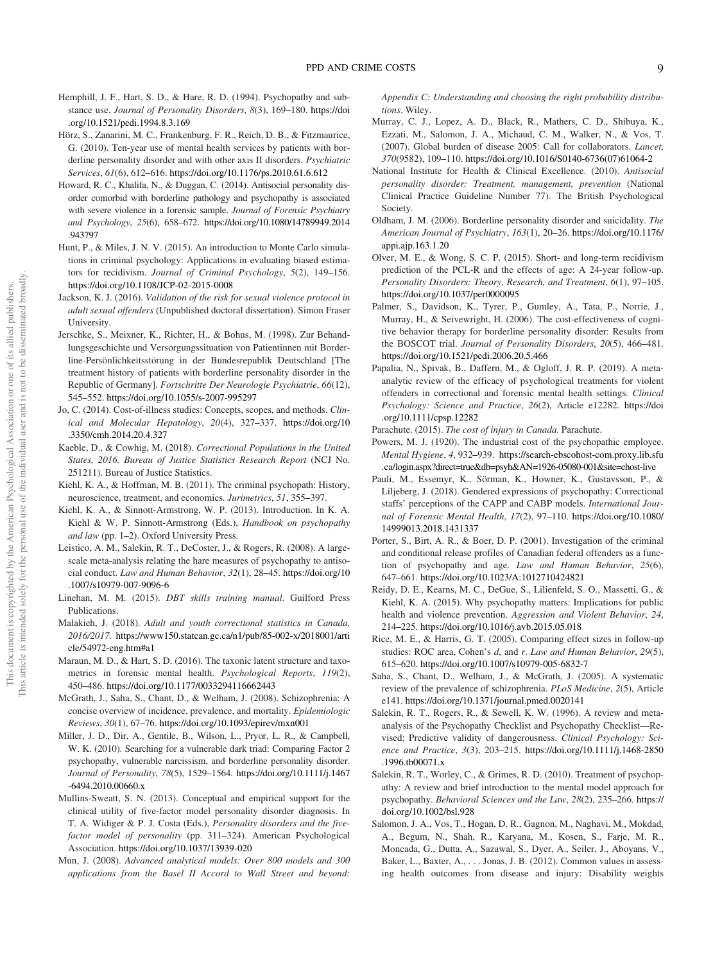- Hemphill, J. F., Hart, S. D., & Hare, R. D. (1994). Psychopathy and substance use. *Journal of Personality Disorders*, *8*(3), 169–180. https://doi .org/10.1521/pedi.1994.8.3.169
- Hörz, S., Zanarini, M. C., Frankenburg, F. R., Reich, D. B., & Fitzmaurice, G. (2010). Ten-year use of mental health services by patients with borderline personality disorder and with other axis II disorders. *Psychiatric Services*, *61*(6), 612–616. https://doi.org/10.1176/ps.2010.61.6.612
- Howard, R. C., Khalifa, N., & Duggan, C. (2014). Antisocial personality disorder comorbid with borderline pathology and psychopathy is associated with severe violence in a forensic sample. *Journal of Forensic Psychiatry and Psychology*, *25*(6), 658–672. https://doi.org/10.1080/14789949.2014 .943797
- Hunt, P., & Miles, J. N. V. (2015). An introduction to Monte Carlo simulations in criminal psychology: Applications in evaluating biased estimators for recidivism. *Journal of Criminal Psychology*, *5*(2), 149–156. https://doi.org/10.1108/JCP-02-2015-0008
- Jackson, K. J. (2016). *Validation of the risk for sexual violence protocol in adult sexual offenders* (Unpublished doctoral dissertation). Simon Fraser University.
- Jerschke, S., Meixner, K., Richter, H., & Bohus, M. (1998). Zur Behandlungsgeschichte und Versorgungssituation von Patientinnen mit Borderline-Persönlichkeitsstörung in der Bundesrepublik Deutschland [The treatment history of patients with borderline personality disorder in the Republic of Germany]. *Fortschritte Der Neurologie Psychiatrie*, *66*(12), 545–552. https://doi.org/10.1055/s-2007-995297
- Jo, C. (2014). Cost-of-illness studies: Concepts, scopes, and methods. *Clinical and Molecular Hepatology*, *20*(4), 327–337. https://doi.org/10 .3350/cmh.2014.20.4.327
- Kaeble, D., & Cowhig, M. (2018). *Correctional Populations in the United States, 2016. Bureau of Justice Statistics Research Report* (NCJ No. 251211). Bureau of Justice Statistics.
- Kiehl, K. A., & Hoffman, M. B. (2011). The criminal psychopath: History, neuroscience, treatment, and economics. *Jurimetrics*, *51*, 355–397.
- Kiehl, K. A., & Sinnott-Armstrong, W. P. (2013). Introduction. In K. A. Kiehl & W. P. Sinnott-Armstrong (Eds.), *Handbook on psychopathy and law* (pp. 1–2). Oxford University Press.
- Leistico, A. M., Salekin, R. T., DeCoster, J., & Rogers, R. (2008). A largescale meta-analysis relating the hare measures of psychopathy to antisocial conduct. *Law and Human Behavior*, *32*(1), 28–45. https://doi.org/10 .1007/s10979-007-9096-6
- Linehan, M. M. (2015). *DBT skills training manual*. Guilford Press Publications.
- Malakieh, J. (2018). *Adult and youth correctional statistics in Canada, 2016/2017*. https://www150.statcan.gc.ca/n1/pub/85-002-x/2018001/arti cle/54972-eng.htm#a1
- Maraun, M. D., & Hart, S. D. (2016). The taxonic latent structure and taxometrics in forensic mental health. *Psychological Reports*, *119*(2), 450–486. https://doi.org/10.1177/0033294116662443
- McGrath, J., Saha, S., Chant, D., & Welham, J. (2008). Schizophrenia: A concise overview of incidence, prevalence, and mortality. *Epidemiologic Reviews*, *30*(1), 67–76. https://doi.org/10.1093/epirev/mxn001
- Miller, J. D., Dir, A., Gentile, B., Wilson, L., Pryor, L. R., & Campbell, W. K. (2010). Searching for a vulnerable dark triad: Comparing Factor 2 psychopathy, vulnerable narcissism, and borderline personality disorder. *Journal of Personality*, *78*(5), 1529–1564. https://doi.org/10.1111/j.1467 -6494.2010.00660.x
- Mullins-Sweatt, S. N. (2013). Conceptual and empirical support for the clinical utility of five-factor model personality disorder diagnosis. In T. A. Widiger & P. J. Costa (Eds.), *Personality disorders and the fivefactor model of personality* (pp. 311–324). American Psychological Association. https://doi.org/10.1037/13939-020
- Mun, J. (2008). *Advanced analytical models: Over 800 models and 300 applications from the Basel II Accord to Wall Street and beyond:*

*Appendix C: Understanding and choosing the right probability distributions*. Wiley.

- Murray, C. J., Lopez, A. D., Black, R., Mathers, C. D., Shibuya, K., Ezzati, M., Salomon, J. A., Michaud, C. M., Walker, N., & Vos, T. (2007). Global burden of disease 2005: Call for collaborators. *Lancet*, *370*(9582), 109–110. https://doi.org/10.1016/S0140-6736(07)61064-2
- National Institute for Health & Clinical Excellence. (2010). *Antisocial personality disorder: Treatment, management, prevention* (National Clinical Practice Guideline Number 77). The British Psychological Society.
- Oldham, J. M. (2006). Borderline personality disorder and suicidality. *The American Journal of Psychiatry*, *163*(1), 20–26. https://doi.org/10.1176/ appi.ajp.163.1.20
- Olver, M. E., & Wong, S. C. P. (2015). Short- and long-term recidivism prediction of the PCL-R and the effects of age: A 24-year follow-up. *Personality Disorders: Theory, Research, and Treatment*, *6*(1), 97–105. https://doi.org/10.1037/per0000095
- Palmer, S., Davidson, K., Tyrer, P., Gumley, A., Tata, P., Norrie, J., Murray, H., & Seivewright, H. (2006). The cost-effectiveness of cognitive behavior therapy for borderline personality disorder: Results from the BOSCOT trial. *Journal of Personality Disorders*, *20*(5), 466–481. https://doi.org/10.1521/pedi.2006.20.5.466
- Papalia, N., Spivak, B., Daffern, M., & Ogloff, J. R. P. (2019). A metaanalytic review of the efficacy of psychological treatments for violent offenders in correctional and forensic mental health settings. *Clinical Psychology: Science and Practice*, *26*(2), Article e12282. https://doi .org/10.1111/cpsp.12282
- Parachute. (2015). *The cost of injury in Canada*. Parachute.
- Powers, M. J. (1920). The industrial cost of the psychopathic employee. *Mental Hygiene*, *4*, 932–939. https://search-ebscohost-com.proxy.lib.sfu .ca/login.aspx?direct=true&db=psyh&AN=1926-05080-001&site=ehost-live
- Pauli, M., Essemyr, K., Sörman, K., Howner, K., Gustavsson, P., & Liljeberg, J. (2018). Gendered expressions of psychopathy: Correctional staffs' perceptions of the CAPP and CABP models. *International Journal of Forensic Mental Health*, *17*(2), 97–110. https://doi.org/10.1080/ 14999013.2018.1431337
- Porter, S., Birt, A. R., & Boer, D. P. (2001). Investigation of the criminal and conditional release profiles of Canadian federal offenders as a function of psychopathy and age. *Law and Human Behavior*, *25*(6), 647–661. https://doi.org/10.1023/A:1012710424821
- Reidy, D. E., Kearns, M. C., DeGue, S., Lilienfeld, S. O., Massetti, G., & Kiehl, K. A. (2015). Why psychopathy matters: Implications for public health and violence prevention. *Aggression and Violent Behavior*, *24*, 214–225. https://doi.org/10.1016/j.avb.2015.05.018
- Rice, M. E., & Harris, G. T. (2005). Comparing effect sizes in follow-up studies: ROC area, Cohen's *d*, and *r*. *Law and Human Behavior*, *29*(5), 615–620. https://doi.org/10.1007/s10979-005-6832-7
- Saha, S., Chant, D., Welham, J., & McGrath, J. (2005). A systematic review of the prevalence of schizophrenia. *PLoS Medicine*, *2*(5), Article e141. https://doi.org/10.1371/journal.pmed.0020141
- Salekin, R. T., Rogers, R., & Sewell, K. W. (1996). A review and metaanalysis of the Psychopathy Checklist and Psychopathy Checklist—Revised: Predictive validity of dangerousness. *Clinical Psychology: Science and Practice*, *3*(3), 203–215. https://doi.org/10.1111/j.1468-2850 .1996.tb00071.x
- Salekin, R. T., Worley, C., & Grimes, R. D. (2010). Treatment of psychopathy: A review and brief introduction to the mental model approach for psychopathy. *Behavioral Sciences and the Law*, *28*(2), 235–266. https:// doi.org/10.1002/bsl.928
- Salomon, J. A., Vos, T., Hogan, D. R., Gagnon, M., Naghavi, M., Mokdad, A., Begum, N., Shah, R., Karyana, M., Kosen, S., Farje, M. R., Moncada, G., Dutta, A., Sazawal, S., Dyer, A., Seiler, J., Aboyans, V., Baker, L., Baxter, A., . . . Jonas, J. B. (2012). Common values in assessing health outcomes from disease and injury: Disability weights